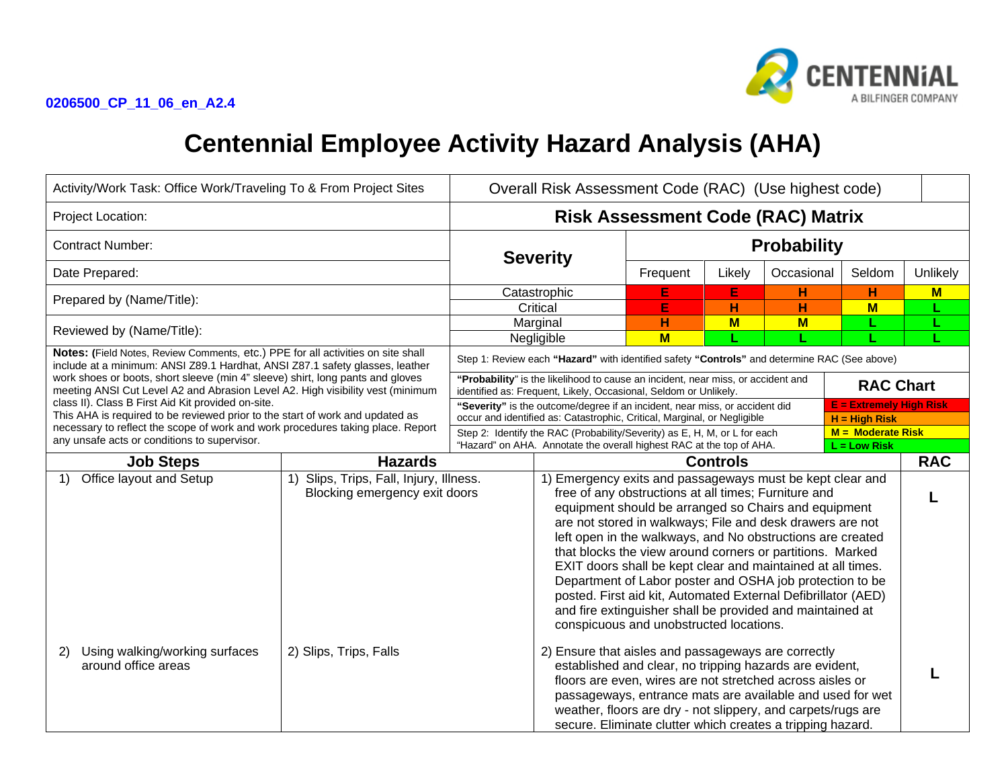

# **Centennial Employee Activity Hazard Analysis (AHA)**

| Activity/Work Task: Office Work/Traveling To & From Project Sites                                                                                                                                                |                                                                                                                                                                                                                                                                                                                                                                                                                                                                                                                                                                                                                                                                                                                                                                     | Overall Risk Assessment Code (RAC) (Use highest code)                                                                                                                                      |                                                                                                                                                                                                                                                                                                                                                                        |                    |        |            |            |          |
|------------------------------------------------------------------------------------------------------------------------------------------------------------------------------------------------------------------|---------------------------------------------------------------------------------------------------------------------------------------------------------------------------------------------------------------------------------------------------------------------------------------------------------------------------------------------------------------------------------------------------------------------------------------------------------------------------------------------------------------------------------------------------------------------------------------------------------------------------------------------------------------------------------------------------------------------------------------------------------------------|--------------------------------------------------------------------------------------------------------------------------------------------------------------------------------------------|------------------------------------------------------------------------------------------------------------------------------------------------------------------------------------------------------------------------------------------------------------------------------------------------------------------------------------------------------------------------|--------------------|--------|------------|------------|----------|
| Project Location:                                                                                                                                                                                                |                                                                                                                                                                                                                                                                                                                                                                                                                                                                                                                                                                                                                                                                                                                                                                     | <b>Risk Assessment Code (RAC) Matrix</b>                                                                                                                                                   |                                                                                                                                                                                                                                                                                                                                                                        |                    |        |            |            |          |
| <b>Contract Number:</b>                                                                                                                                                                                          |                                                                                                                                                                                                                                                                                                                                                                                                                                                                                                                                                                                                                                                                                                                                                                     | <b>Severity</b>                                                                                                                                                                            |                                                                                                                                                                                                                                                                                                                                                                        | <b>Probability</b> |        |            |            |          |
| Date Prepared:                                                                                                                                                                                                   |                                                                                                                                                                                                                                                                                                                                                                                                                                                                                                                                                                                                                                                                                                                                                                     |                                                                                                                                                                                            |                                                                                                                                                                                                                                                                                                                                                                        | Frequent           | Likely | Occasional | Seldom     | Unlikely |
| Prepared by (Name/Title):                                                                                                                                                                                        |                                                                                                                                                                                                                                                                                                                                                                                                                                                                                                                                                                                                                                                                                                                                                                     |                                                                                                                                                                                            | Catastrophic                                                                                                                                                                                                                                                                                                                                                           | E                  | E      | н          | н          | M        |
|                                                                                                                                                                                                                  |                                                                                                                                                                                                                                                                                                                                                                                                                                                                                                                                                                                                                                                                                                                                                                     | Critical                                                                                                                                                                                   |                                                                                                                                                                                                                                                                                                                                                                        | E                  | н      | H          | $M$        |          |
| Reviewed by (Name/Title):                                                                                                                                                                                        |                                                                                                                                                                                                                                                                                                                                                                                                                                                                                                                                                                                                                                                                                                                                                                     |                                                                                                                                                                                            | Marginal                                                                                                                                                                                                                                                                                                                                                               | н                  | $M$    | $M$        |            |          |
|                                                                                                                                                                                                                  |                                                                                                                                                                                                                                                                                                                                                                                                                                                                                                                                                                                                                                                                                                                                                                     |                                                                                                                                                                                            | Negligible                                                                                                                                                                                                                                                                                                                                                             | M                  |        |            |            |          |
| Notes: (Field Notes, Review Comments, etc.) PPE for all activities on site shall<br>include at a minimum: ANSI Z89.1 Hardhat, ANSI Z87.1 safety glasses, leather                                                 |                                                                                                                                                                                                                                                                                                                                                                                                                                                                                                                                                                                                                                                                                                                                                                     |                                                                                                                                                                                            | Step 1: Review each "Hazard" with identified safety "Controls" and determine RAC (See above)                                                                                                                                                                                                                                                                           |                    |        |            |            |          |
| work shoes or boots, short sleeve (min 4" sleeve) shirt, long pants and gloves<br>meeting ANSI Cut Level A2 and Abrasion Level A2. High visibility vest (minimum                                                 |                                                                                                                                                                                                                                                                                                                                                                                                                                                                                                                                                                                                                                                                                                                                                                     | "Probability" is the likelihood to cause an incident, near miss, or accident and<br><b>RAC Chart</b><br>identified as: Frequent, Likely, Occasional, Seldom or Unlikely.                   |                                                                                                                                                                                                                                                                                                                                                                        |                    |        |            |            |          |
| class II). Class B First Aid Kit provided on-site.                                                                                                                                                               |                                                                                                                                                                                                                                                                                                                                                                                                                                                                                                                                                                                                                                                                                                                                                                     | <b>E</b> = Extremely High Risk<br>"Severity" is the outcome/degree if an incident, near miss, or accident did                                                                              |                                                                                                                                                                                                                                                                                                                                                                        |                    |        |            |            |          |
| This AHA is required to be reviewed prior to the start of work and updated as<br>necessary to reflect the scope of work and work procedures taking place. Report<br>any unsafe acts or conditions to supervisor. |                                                                                                                                                                                                                                                                                                                                                                                                                                                                                                                                                                                                                                                                                                                                                                     | occur and identified as: Catastrophic, Critical, Marginal, or Negligible<br>$H = High Risk$                                                                                                |                                                                                                                                                                                                                                                                                                                                                                        |                    |        |            |            |          |
|                                                                                                                                                                                                                  |                                                                                                                                                                                                                                                                                                                                                                                                                                                                                                                                                                                                                                                                                                                                                                     | $M =$ Moderate Risk<br>Step 2: Identify the RAC (Probability/Severity) as E, H, M, or L for each<br>"Hazard" on AHA. Annotate the overall highest RAC at the top of AHA.<br>$L = Low Risk$ |                                                                                                                                                                                                                                                                                                                                                                        |                    |        |            |            |          |
| <b>Job Steps</b>                                                                                                                                                                                                 |                                                                                                                                                                                                                                                                                                                                                                                                                                                                                                                                                                                                                                                                                                                                                                     |                                                                                                                                                                                            |                                                                                                                                                                                                                                                                                                                                                                        | <b>Controls</b>    |        |            | <b>RAC</b> |          |
| Office layout and Setup<br>1)                                                                                                                                                                                    | <b>Hazards</b><br>1) Slips, Trips, Fall, Injury, Illness.<br>1) Emergency exits and passageways must be kept clear and<br>free of any obstructions at all times; Furniture and<br>Blocking emergency exit doors<br>equipment should be arranged so Chairs and equipment<br>are not stored in walkways; File and desk drawers are not<br>left open in the walkways, and No obstructions are created<br>that blocks the view around corners or partitions. Marked<br>EXIT doors shall be kept clear and maintained at all times.<br>Department of Labor poster and OSHA job protection to be<br>posted. First aid kit, Automated External Defibrillator (AED)<br>and fire extinguisher shall be provided and maintained at<br>conspicuous and unobstructed locations. |                                                                                                                                                                                            |                                                                                                                                                                                                                                                                                                                                                                        |                    |        |            |            |          |
| Using walking/working surfaces<br>2)<br>around office areas                                                                                                                                                      | 2) Slips, Trips, Falls                                                                                                                                                                                                                                                                                                                                                                                                                                                                                                                                                                                                                                                                                                                                              |                                                                                                                                                                                            | 2) Ensure that aisles and passageways are correctly<br>established and clear, no tripping hazards are evident,<br>floors are even, wires are not stretched across aisles or<br>passageways, entrance mats are available and used for wet<br>weather, floors are dry - not slippery, and carpets/rugs are<br>secure. Eliminate clutter which creates a tripping hazard. |                    |        |            |            |          |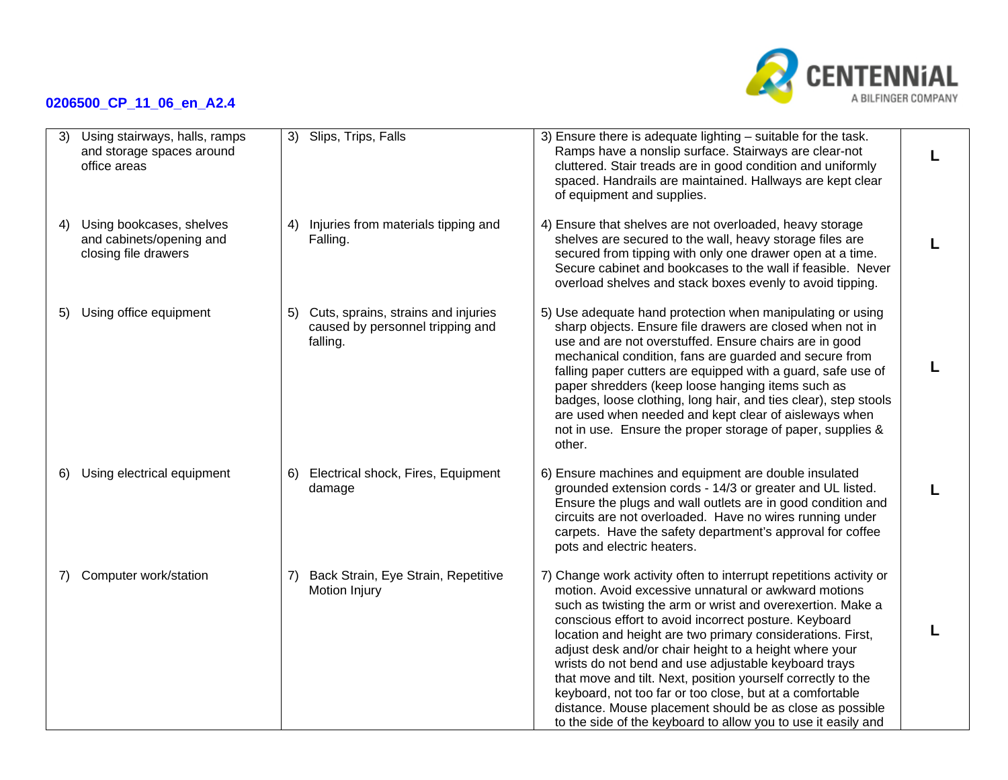

| 3) | Using stairways, halls, ramps<br>and storage spaces around<br>office areas   |    | 3) Slips, Trips, Falls                                                              | 3) Ensure there is adequate lighting - suitable for the task.<br>Ramps have a nonslip surface. Stairways are clear-not<br>cluttered. Stair treads are in good condition and uniformly<br>spaced. Handrails are maintained. Hallways are kept clear<br>of equipment and supplies.                                                                                                                                                                                                                                                                                                                                                                                                           |  |
|----|------------------------------------------------------------------------------|----|-------------------------------------------------------------------------------------|--------------------------------------------------------------------------------------------------------------------------------------------------------------------------------------------------------------------------------------------------------------------------------------------------------------------------------------------------------------------------------------------------------------------------------------------------------------------------------------------------------------------------------------------------------------------------------------------------------------------------------------------------------------------------------------------|--|
| 4) | Using bookcases, shelves<br>and cabinets/opening and<br>closing file drawers | 4) | Injuries from materials tipping and<br>Falling.                                     | 4) Ensure that shelves are not overloaded, heavy storage<br>shelves are secured to the wall, heavy storage files are<br>secured from tipping with only one drawer open at a time.<br>Secure cabinet and bookcases to the wall if feasible. Never<br>overload shelves and stack boxes evenly to avoid tipping.                                                                                                                                                                                                                                                                                                                                                                              |  |
|    | Using office equipment                                                       | 5) | Cuts, sprains, strains and injuries<br>caused by personnel tripping and<br>falling. | 5) Use adequate hand protection when manipulating or using<br>sharp objects. Ensure file drawers are closed when not in<br>use and are not overstuffed. Ensure chairs are in good<br>mechanical condition, fans are guarded and secure from<br>falling paper cutters are equipped with a guard, safe use of<br>paper shredders (keep loose hanging items such as<br>badges, loose clothing, long hair, and ties clear), step stools<br>are used when needed and kept clear of aisleways when<br>not in use. Ensure the proper storage of paper, supplies &<br>other.                                                                                                                       |  |
| 6) | Using electrical equipment                                                   | 6) | Electrical shock, Fires, Equipment<br>damage                                        | 6) Ensure machines and equipment are double insulated<br>grounded extension cords - 14/3 or greater and UL listed.<br>Ensure the plugs and wall outlets are in good condition and<br>circuits are not overloaded. Have no wires running under<br>carpets. Have the safety department's approval for coffee<br>pots and electric heaters.                                                                                                                                                                                                                                                                                                                                                   |  |
| 7) | Computer work/station                                                        | 7) | Back Strain, Eye Strain, Repetitive<br>Motion Injury                                | 7) Change work activity often to interrupt repetitions activity or<br>motion. Avoid excessive unnatural or awkward motions<br>such as twisting the arm or wrist and overexertion. Make a<br>conscious effort to avoid incorrect posture. Keyboard<br>location and height are two primary considerations. First,<br>adjust desk and/or chair height to a height where your<br>wrists do not bend and use adjustable keyboard trays<br>that move and tilt. Next, position yourself correctly to the<br>keyboard, not too far or too close, but at a comfortable<br>distance. Mouse placement should be as close as possible<br>to the side of the keyboard to allow you to use it easily and |  |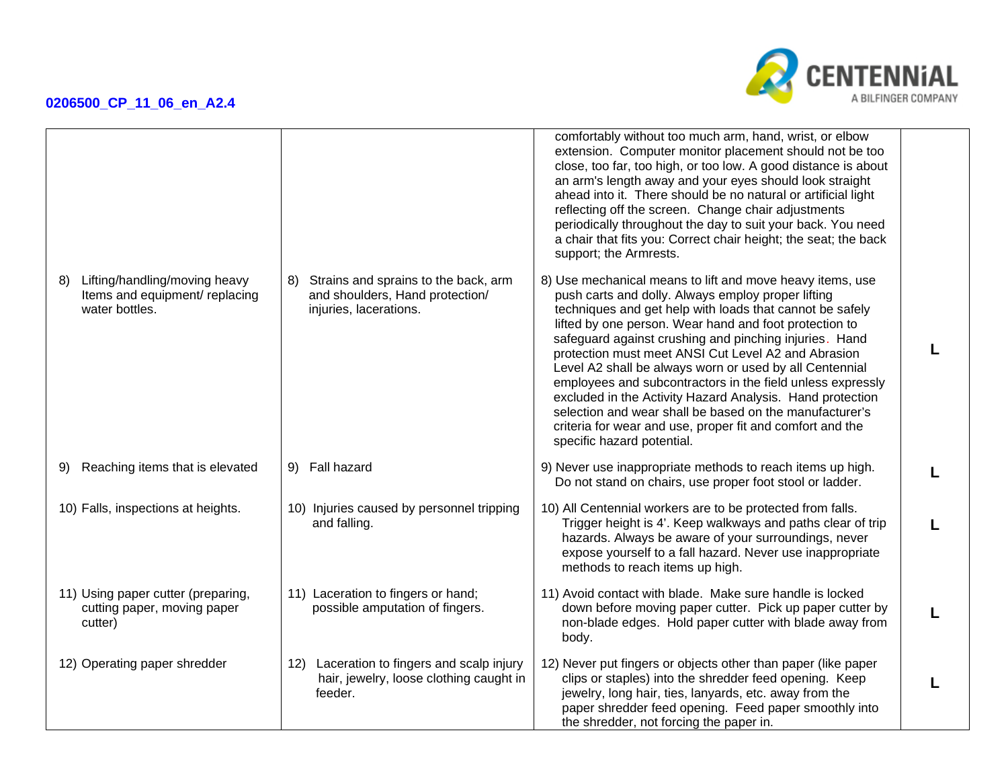

|    |                                                                                   |     |                                                                                                   | comfortably without too much arm, hand, wrist, or elbow<br>extension. Computer monitor placement should not be too<br>close, too far, too high, or too low. A good distance is about<br>an arm's length away and your eyes should look straight<br>ahead into it. There should be no natural or artificial light<br>reflecting off the screen. Change chair adjustments<br>periodically throughout the day to suit your back. You need<br>a chair that fits you: Correct chair height; the seat; the back<br>support; the Armrests.                                                                                                                                                                |  |
|----|-----------------------------------------------------------------------------------|-----|---------------------------------------------------------------------------------------------------|----------------------------------------------------------------------------------------------------------------------------------------------------------------------------------------------------------------------------------------------------------------------------------------------------------------------------------------------------------------------------------------------------------------------------------------------------------------------------------------------------------------------------------------------------------------------------------------------------------------------------------------------------------------------------------------------------|--|
| 8) | Lifting/handling/moving heavy<br>Items and equipment/ replacing<br>water bottles. | 8)  | Strains and sprains to the back, arm<br>and shoulders, Hand protection/<br>injuries, lacerations. | 8) Use mechanical means to lift and move heavy items, use<br>push carts and dolly. Always employ proper lifting<br>techniques and get help with loads that cannot be safely<br>lifted by one person. Wear hand and foot protection to<br>safeguard against crushing and pinching injuries. Hand<br>protection must meet ANSI Cut Level A2 and Abrasion<br>Level A2 shall be always worn or used by all Centennial<br>employees and subcontractors in the field unless expressly<br>excluded in the Activity Hazard Analysis. Hand protection<br>selection and wear shall be based on the manufacturer's<br>criteria for wear and use, proper fit and comfort and the<br>specific hazard potential. |  |
| 9) | Reaching items that is elevated                                                   |     | 9) Fall hazard                                                                                    | 9) Never use inappropriate methods to reach items up high.<br>Do not stand on chairs, use proper foot stool or ladder.                                                                                                                                                                                                                                                                                                                                                                                                                                                                                                                                                                             |  |
|    | 10) Falls, inspections at heights.                                                |     | 10) Injuries caused by personnel tripping<br>and falling.                                         | 10) All Centennial workers are to be protected from falls.<br>Trigger height is 4'. Keep walkways and paths clear of trip<br>hazards. Always be aware of your surroundings, never<br>expose yourself to a fall hazard. Never use inappropriate<br>methods to reach items up high.                                                                                                                                                                                                                                                                                                                                                                                                                  |  |
|    | 11) Using paper cutter (preparing,<br>cutting paper, moving paper<br>cutter)      |     | 11) Laceration to fingers or hand;<br>possible amputation of fingers.                             | 11) Avoid contact with blade. Make sure handle is locked<br>down before moving paper cutter. Pick up paper cutter by<br>non-blade edges. Hold paper cutter with blade away from<br>body.                                                                                                                                                                                                                                                                                                                                                                                                                                                                                                           |  |
|    | 12) Operating paper shredder                                                      | 12) | Laceration to fingers and scalp injury<br>hair, jewelry, loose clothing caught in<br>feeder.      | 12) Never put fingers or objects other than paper (like paper<br>clips or staples) into the shredder feed opening. Keep<br>jewelry, long hair, ties, lanyards, etc. away from the<br>paper shredder feed opening. Feed paper smoothly into<br>the shredder, not forcing the paper in.                                                                                                                                                                                                                                                                                                                                                                                                              |  |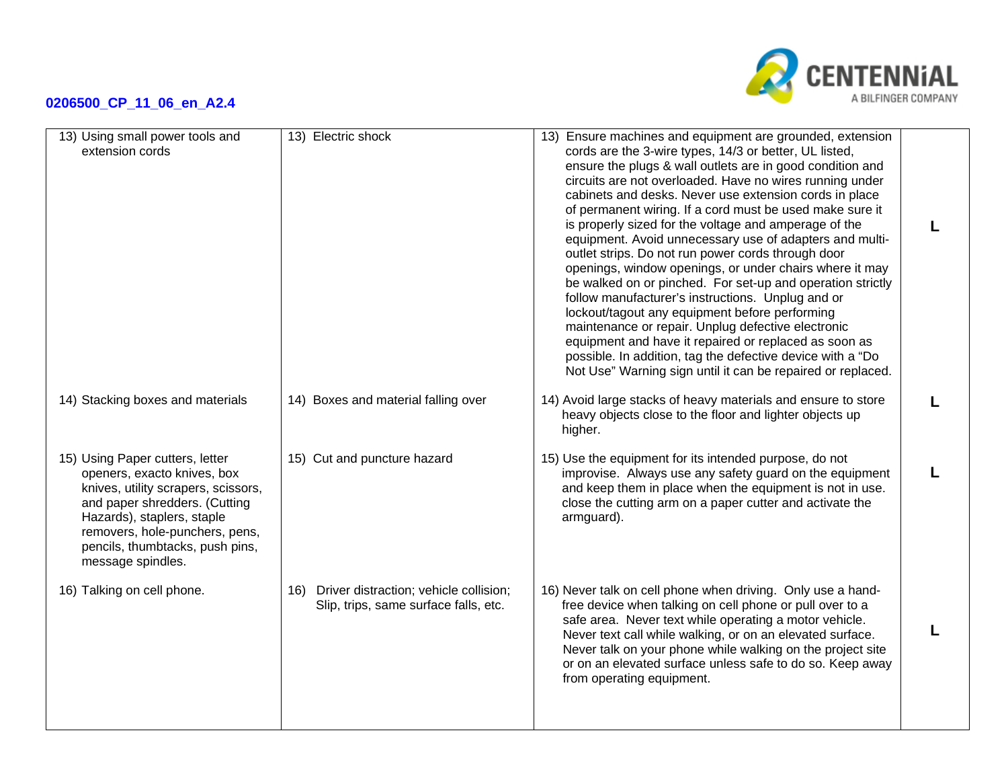

| 13) Using small power tools and<br>extension cords                                                                                                                                                                                                             | 13) Electric shock                                                                     | 13) Ensure machines and equipment are grounded, extension<br>cords are the 3-wire types, 14/3 or better, UL listed,<br>ensure the plugs & wall outlets are in good condition and<br>circuits are not overloaded. Have no wires running under<br>cabinets and desks. Never use extension cords in place<br>of permanent wiring. If a cord must be used make sure it<br>is properly sized for the voltage and amperage of the<br>equipment. Avoid unnecessary use of adapters and multi-<br>outlet strips. Do not run power cords through door<br>openings, window openings, or under chairs where it may<br>be walked on or pinched. For set-up and operation strictly<br>follow manufacturer's instructions. Unplug and or<br>lockout/tagout any equipment before performing<br>maintenance or repair. Unplug defective electronic<br>equipment and have it repaired or replaced as soon as<br>possible. In addition, tag the defective device with a "Do<br>Not Use" Warning sign until it can be repaired or replaced. |  |
|----------------------------------------------------------------------------------------------------------------------------------------------------------------------------------------------------------------------------------------------------------------|----------------------------------------------------------------------------------------|--------------------------------------------------------------------------------------------------------------------------------------------------------------------------------------------------------------------------------------------------------------------------------------------------------------------------------------------------------------------------------------------------------------------------------------------------------------------------------------------------------------------------------------------------------------------------------------------------------------------------------------------------------------------------------------------------------------------------------------------------------------------------------------------------------------------------------------------------------------------------------------------------------------------------------------------------------------------------------------------------------------------------|--|
| 14) Stacking boxes and materials                                                                                                                                                                                                                               | 14) Boxes and material falling over                                                    | 14) Avoid large stacks of heavy materials and ensure to store<br>heavy objects close to the floor and lighter objects up<br>higher.                                                                                                                                                                                                                                                                                                                                                                                                                                                                                                                                                                                                                                                                                                                                                                                                                                                                                      |  |
| 15) Using Paper cutters, letter<br>openers, exacto knives, box<br>knives, utility scrapers, scissors,<br>and paper shredders. (Cutting<br>Hazards), staplers, staple<br>removers, hole-punchers, pens,<br>pencils, thumbtacks, push pins,<br>message spindles. | 15) Cut and puncture hazard                                                            | 15) Use the equipment for its intended purpose, do not<br>improvise. Always use any safety guard on the equipment<br>and keep them in place when the equipment is not in use.<br>close the cutting arm on a paper cutter and activate the<br>armguard).                                                                                                                                                                                                                                                                                                                                                                                                                                                                                                                                                                                                                                                                                                                                                                  |  |
| 16) Talking on cell phone.                                                                                                                                                                                                                                     | Driver distraction; vehicle collision;<br>16)<br>Slip, trips, same surface falls, etc. | 16) Never talk on cell phone when driving. Only use a hand-<br>free device when talking on cell phone or pull over to a<br>safe area. Never text while operating a motor vehicle.<br>Never text call while walking, or on an elevated surface.<br>Never talk on your phone while walking on the project site<br>or on an elevated surface unless safe to do so. Keep away<br>from operating equipment.                                                                                                                                                                                                                                                                                                                                                                                                                                                                                                                                                                                                                   |  |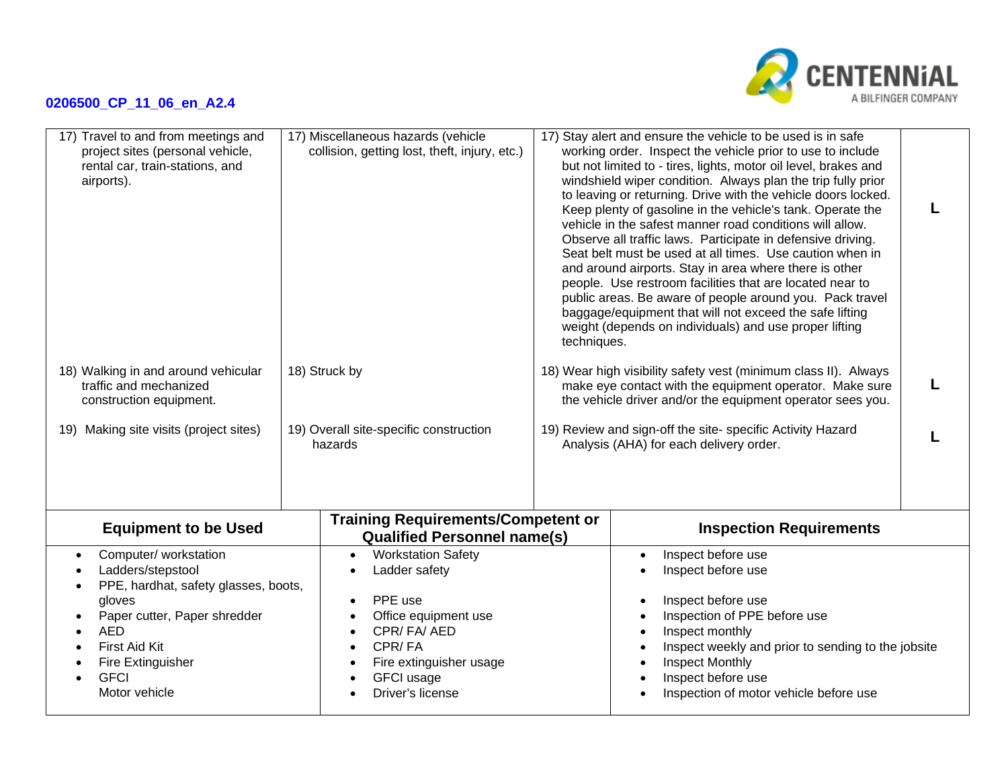

| 17) Travel to and from meetings and<br>project sites (personal vehicle,<br>rental car, train-stations, and<br>airports).                                                                                                     | 17) Miscellaneous hazards (vehicle<br>collision, getting lost, theft, injury, etc.)                                                                                       | 17) Stay alert and ensure the vehicle to be used is in safe<br>working order. Inspect the vehicle prior to use to include<br>but not limited to - tires, lights, motor oil level, brakes and<br>windshield wiper condition. Always plan the trip fully prior<br>to leaving or returning. Drive with the vehicle doors locked.<br>Keep plenty of gasoline in the vehicle's tank. Operate the<br>vehicle in the safest manner road conditions will allow.<br>Observe all traffic laws. Participate in defensive driving.<br>Seat belt must be used at all times. Use caution when in<br>and around airports. Stay in area where there is other<br>people. Use restroom facilities that are located near to<br>public areas. Be aware of people around you. Pack travel<br>baggage/equipment that will not exceed the safe lifting<br>weight (depends on individuals) and use proper lifting<br>techniques. |  |
|------------------------------------------------------------------------------------------------------------------------------------------------------------------------------------------------------------------------------|---------------------------------------------------------------------------------------------------------------------------------------------------------------------------|----------------------------------------------------------------------------------------------------------------------------------------------------------------------------------------------------------------------------------------------------------------------------------------------------------------------------------------------------------------------------------------------------------------------------------------------------------------------------------------------------------------------------------------------------------------------------------------------------------------------------------------------------------------------------------------------------------------------------------------------------------------------------------------------------------------------------------------------------------------------------------------------------------|--|
| 18) Walking in and around vehicular<br>traffic and mechanized<br>construction equipment.<br>19) Making site visits (project sites)                                                                                           | 18) Struck by<br>19) Overall site-specific construction<br>hazards                                                                                                        | 18) Wear high visibility safety vest (minimum class II). Always<br>make eye contact with the equipment operator. Make sure<br>the vehicle driver and/or the equipment operator sees you.<br>19) Review and sign-off the site- specific Activity Hazard<br>Analysis (AHA) for each delivery order.                                                                                                                                                                                                                                                                                                                                                                                                                                                                                                                                                                                                        |  |
| <b>Equipment to be Used</b>                                                                                                                                                                                                  | <b>Training Requirements/Competent or</b><br><b>Qualified Personnel name(s)</b>                                                                                           | <b>Inspection Requirements</b>                                                                                                                                                                                                                                                                                                                                                                                                                                                                                                                                                                                                                                                                                                                                                                                                                                                                           |  |
| Computer/workstation<br>$\bullet$<br>Ladders/stepstool<br>PPE, hardhat, safety glasses, boots,<br>gloves<br>Paper cutter, Paper shredder<br><b>AED</b><br>First Aid Kit<br>Fire Extinguisher<br><b>GFCI</b><br>Motor vehicle | <b>Workstation Safety</b><br>Ladder safety<br>PPE use<br>Office equipment use<br>CPR/FA/AED<br>CPR/FA<br>Fire extinguisher usage<br><b>GFCI</b> usage<br>Driver's license | Inspect before use<br>Inspect before use<br>Inspect before use<br>Inspection of PPE before use<br>Inspect monthly<br>Inspect weekly and prior to sending to the jobsite<br>Inspect Monthly<br>Inspect before use<br>Inspection of motor vehicle before use                                                                                                                                                                                                                                                                                                                                                                                                                                                                                                                                                                                                                                               |  |